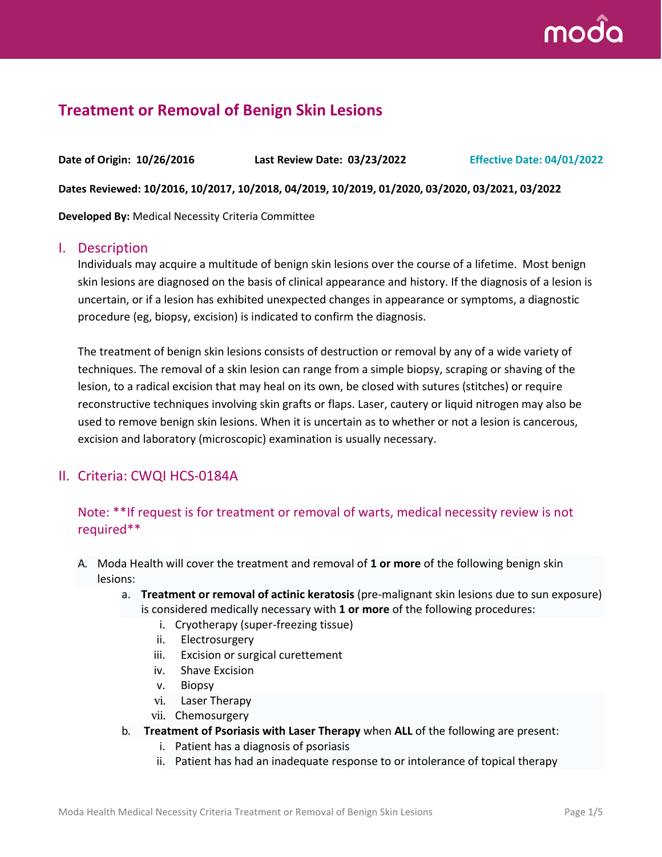

# **Treatment or Removal of Benign Skin Lesions**

**Date of Origin: 10/26/2016 Last Review Date: 03/23/2022 Effective Date: 04/01/2022 Dates Reviewed: 10/2016, 10/2017, 10/2018, 04/2019, 10/2019, 01/2020, 03/2020, 03/2021, 03/2022 Developed By:** Medical Necessity Criteria Committee

#### I. Description

Individuals may acquire a multitude of benign skin lesions over the course of a lifetime. Most benign skin lesions are diagnosed on the basis of clinical appearance and history. If the diagnosis of a lesion is uncertain, or if a lesion has exhibited unexpected changes in appearance or symptoms, a diagnostic procedure (eg, biopsy, excision) is indicated to confirm the diagnosis.

The treatment of benign skin lesions consists of destruction or removal by any of a wide variety of techniques. The removal of a skin lesion can range from a simple biopsy, scraping or shaving of the lesion, to a radical excision that may heal on its own, be closed with sutures (stitches) or require reconstructive techniques involving skin grafts or flaps. Laser, cautery or liquid nitrogen may also be used to remove benign skin lesions. When it is uncertain as to whether or not a lesion is cancerous, excision and laboratory (microscopic) examination is usually necessary.

### II. Criteria: CWQI HCS-0184A

### Note: \*\*If request is for treatment or removal of warts, medical necessity review is not required\*\*

- A. Moda Health will cover the treatment and removal of **1 or more** of the following benign skin lesions:
	- a. **Treatment or removal of actinic keratosis** (pre-malignant skin lesions due to sun exposure) is considered medically necessary with **1 or more** of the following procedures:
		- i. Cryotherapy (super-freezing tissue)
		- ii. Electrosurgery
		- iii. Excision or surgical curettement
		- iv. Shave Excision
		- v. Biopsy
		- vi. Laser Therapy
		- vii. Chemosurgery
	- b. **Treatment of Psoriasis with Laser Therapy** when **ALL** of the following are present:
		- i. Patient has a diagnosis of psoriasis
		- ii. Patient has had an inadequate response to or intolerance of topical therapy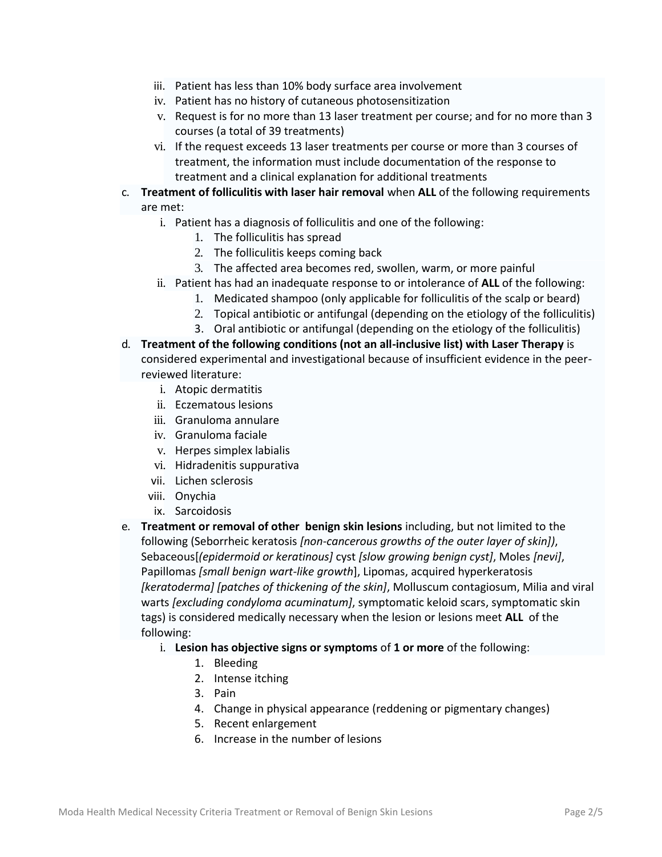- iii. Patient has less than 10% body surface area involvement
- iv. Patient has no history of cutaneous photosensitization
- v. Request is for no more than 13 laser treatment per course; and for no more than 3 courses (a total of 39 treatments)
- vi. If the request exceeds 13 laser treatments per course or more than 3 courses of treatment, the information must include documentation of the response to treatment and a clinical explanation for additional treatments
- c. **Treatment of folliculitis with laser hair removal** when **ALL** of the following requirements are met:
	- i. Patient has a diagnosis of folliculitis and one of the following:
		- 1. The folliculitis has spread
		- 2. The folliculitis keeps coming back
		- 3. The affected area becomes red, swollen, warm, or more painful
	- ii. Patient has had an inadequate response to or intolerance of **ALL** of the following:
		- 1. Medicated shampoo (only applicable for folliculitis of the scalp or beard)
		- 2. Topical antibiotic or antifungal (depending on the etiology of the folliculitis)
		- 3. Oral antibiotic or antifungal (depending on the etiology of the folliculitis)
- d. **Treatment of the following conditions (not an all-inclusive list) with Laser Therapy** is considered experimental and investigational because of insufficient evidence in the peerreviewed literature:
	- i. Atopic dermatitis
	- ii. Eczematous lesions
	- iii. Granuloma annulare
	- iv. Granuloma faciale
	- v. Herpes simplex labialis
	- vi. Hidradenitis suppurativa
	- vii. Lichen sclerosis
	- viii. Onychia
	- ix. Sarcoidosis
- e. **Treatment or removal of other benign skin lesions** including, but not limited to the following (Seborrheic keratosis *[non-cancerous growths of the outer layer of skin])*, Sebaceous[*(epidermoid or keratinous]* cyst *[slow growing benign cyst]*, Moles *[nevi]*, Papillomas *[small benign wart-like growth*], Lipomas, acquired hyperkeratosis *[keratoderma] [patches of thickening of the skin]*, Molluscum contagiosum, Milia and viral warts *[excluding condyloma acuminatum]*, symptomatic keloid scars, symptomatic skin tags) is considered medically necessary when the lesion or lesions meet **ALL** of the following:
	- i. **Lesion has objective signs or symptoms** of **1 or more** of the following:
		- 1. Bleeding
		- 2. Intense itching
		- 3. Pain
		- 4. Change in physical appearance (reddening or pigmentary changes)
		- 5. Recent enlargement
		- 6. Increase in the number of lesions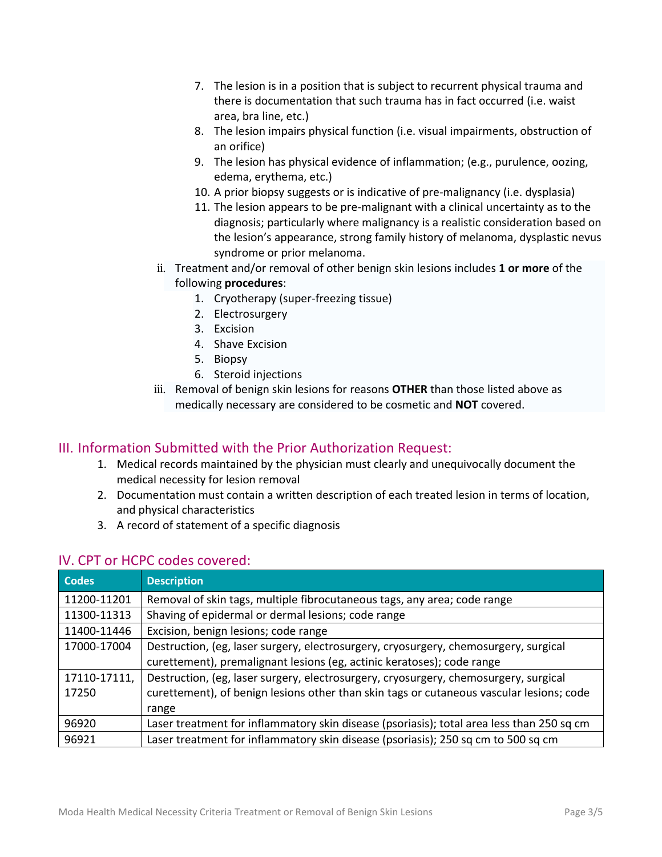- 7. The lesion is in a position that is subject to recurrent physical trauma and there is documentation that such trauma has in fact occurred (i.e. waist area, bra line, etc.)
- 8. The lesion impairs physical function (i.e. visual impairments, obstruction of an orifice)
- 9. The lesion has physical evidence of inflammation; (e.g., purulence, oozing, edema, erythema, etc.)
- 10. A prior biopsy suggests or is indicative of pre-malignancy (i.e. dysplasia)
- 11. The lesion appears to be pre-malignant with a clinical uncertainty as to the diagnosis; particularly where malignancy is a realistic consideration based on the lesion's appearance, strong family history of melanoma, dysplastic nevus syndrome or prior melanoma.
- ii. Treatment and/or removal of other benign skin lesions includes **1 or more** of the following **procedures**:
	- 1. Cryotherapy (super-freezing tissue)
	- 2. Electrosurgery
	- 3. Excision
	- 4. Shave Excision
	- 5. Biopsy
	- 6. Steroid injections
- iii. Removal of benign skin lesions for reasons **OTHER** than those listed above as medically necessary are considered to be cosmetic and **NOT** covered.

## III. Information Submitted with the Prior Authorization Request:

- 1. Medical records maintained by the physician must clearly and unequivocally document the medical necessity for lesion removal
- 2. Documentation must contain a written description of each treated lesion in terms of location, and physical characteristics
- 3. A record of statement of a specific diagnosis

| <b>Codes</b> | <b>Description</b>                                                                        |  |
|--------------|-------------------------------------------------------------------------------------------|--|
| 11200-11201  | Removal of skin tags, multiple fibrocutaneous tags, any area; code range                  |  |
| 11300-11313  | Shaving of epidermal or dermal lesions; code range                                        |  |
| 11400-11446  | Excision, benign lesions; code range                                                      |  |
| 17000-17004  | Destruction, (eg, laser surgery, electrosurgery, cryosurgery, chemosurgery, surgical      |  |
|              | curettement), premalignant lesions (eg, actinic keratoses); code range                    |  |
| 17110-17111, | Destruction, (eg, laser surgery, electrosurgery, cryosurgery, chemosurgery, surgical      |  |
| 17250        | curettement), of benign lesions other than skin tags or cutaneous vascular lesions; code  |  |
|              | range                                                                                     |  |
| 96920        | Laser treatment for inflammatory skin disease (psoriasis); total area less than 250 sq cm |  |
| 96921        | Laser treatment for inflammatory skin disease (psoriasis); 250 sq cm to 500 sq cm         |  |

### IV. CPT or HCPC codes covered: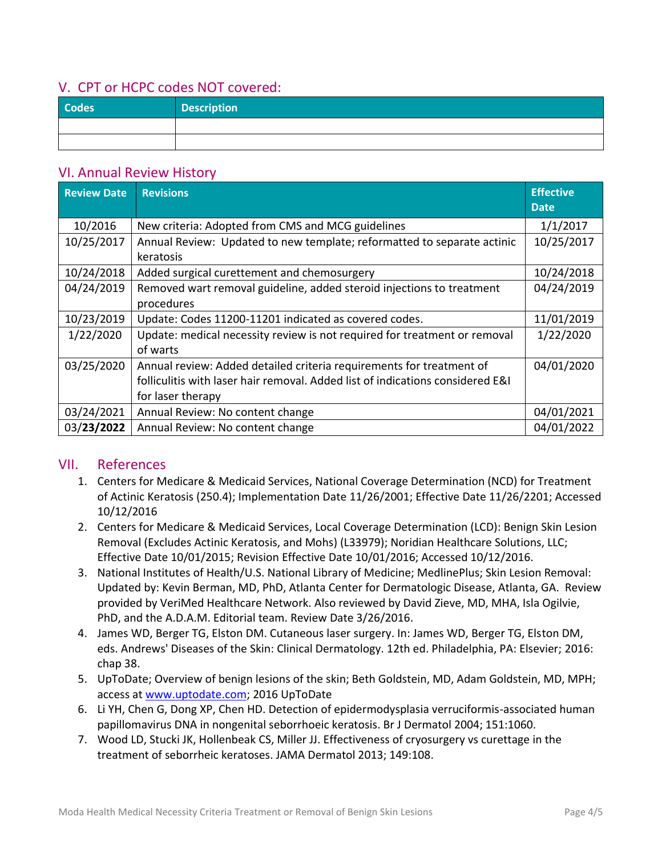## V. CPT or HCPC codes NOT covered:

| <b>Codes</b> | <b>Description</b> |
|--------------|--------------------|
|              |                    |
|              |                    |

### VI. Annual Review History

| <b>Review Date</b> | <b>Revisions</b>                                                               | <b>Effective</b><br><b>Date</b> |
|--------------------|--------------------------------------------------------------------------------|---------------------------------|
| 10/2016            | New criteria: Adopted from CMS and MCG guidelines                              | 1/1/2017                        |
| 10/25/2017         | Annual Review: Updated to new template; reformatted to separate actinic        | 10/25/2017                      |
|                    | keratosis                                                                      |                                 |
| 10/24/2018         | Added surgical curettement and chemosurgery                                    | 10/24/2018                      |
| 04/24/2019         | Removed wart removal guideline, added steroid injections to treatment          | 04/24/2019                      |
|                    | procedures                                                                     |                                 |
| 10/23/2019         | Update: Codes 11200-11201 indicated as covered codes.                          | 11/01/2019                      |
| 1/22/2020          | Update: medical necessity review is not required for treatment or removal      | 1/22/2020                       |
|                    | of warts                                                                       |                                 |
| 03/25/2020         | Annual review: Added detailed criteria requirements for treatment of           | 04/01/2020                      |
|                    | folliculitis with laser hair removal. Added list of indications considered E&I |                                 |
|                    | for laser therapy                                                              |                                 |
| 03/24/2021         | Annual Review: No content change                                               | 04/01/2021                      |
| 03/23/2022         | Annual Review: No content change                                               | 04/01/2022                      |

### VII. References

- 1. Centers for Medicare & Medicaid Services, National Coverage Determination (NCD) for Treatment of Actinic Keratosis (250.4); Implementation Date 11/26/2001; Effective Date 11/26/2201; Accessed 10/12/2016
- 2. Centers for Medicare & Medicaid Services, Local Coverage Determination (LCD): Benign Skin Lesion Removal (Excludes Actinic Keratosis, and Mohs) (L33979); Noridian Healthcare Solutions, LLC; Effective Date 10/01/2015; Revision Effective Date 10/01/2016; Accessed 10/12/2016.
- 3. National Institutes of Health/U.S. National Library of Medicine; MedlinePlus; Skin Lesion Removal: Updated by: Kevin Berman, MD, PhD, Atlanta Center for Dermatologic Disease, Atlanta, GA. Review provided by VeriMed Healthcare Network. Also reviewed by David Zieve, MD, MHA, Isla Ogilvie, PhD, and the A.D.A.M. Editorial team. Review Date 3/26/2016.
- 4. James WD, Berger TG, Elston DM. Cutaneous laser surgery. In: James WD, Berger TG, Elston DM, eds. Andrews' Diseases of the Skin: Clinical Dermatology. 12th ed. Philadelphia, PA: Elsevier; 2016: chap 38.
- 5. UpToDate; Overview of benign lesions of the skin; Beth Goldstein, MD, Adam Goldstein, MD, MPH; access at [www.uptodate.com;](http://www.uptodate.com/) 2016 UpToDate
- 6. Li YH, Chen G, Dong XP, Chen HD. Detection of epidermodysplasia verruciformis-associated human papillomavirus DNA in nongenital seborrhoeic keratosis. Br J Dermatol 2004; 151:1060.
- 7. Wood LD, Stucki JK, Hollenbeak CS, Miller JJ. Effectiveness of cryosurgery vs curettage in the treatment of seborrheic keratoses. JAMA Dermatol 2013; 149:108.